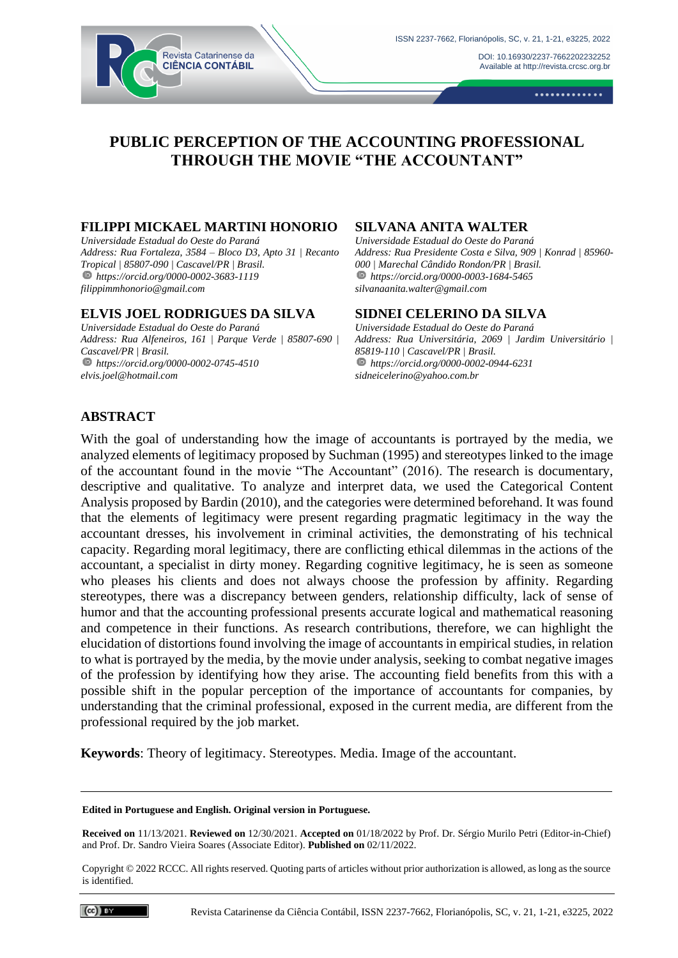DOI[: 10.16930/2237-7662202232252](https://doi.org/10.16930/2237-7662202232252) Available at http://revista.crcsc.org.br

.............

# **PUBLIC PERCEPTION OF THE ACCOUNTING PROFESSIONAL THROUGH THE MOVIE "THE ACCOUNTANT"**

#### **FILIPPI MICKAEL MARTINI HONORIO**

Revista Catarinense da **CIÊNCIA CONTÁBIL** 

*Universidade Estadual do Oeste do Paraná Address: Rua Fortaleza, 3584 – Bloco D3, Apto 31 | Recanto Tropical | 85807-090 | Cascavel/PR | Brasil. https://orcid.org/0000-0002-3683-1119 filippimmhonorio@gmail.com*

#### **ELVIS JOEL RODRIGUES DA SILVA**

*Universidade Estadual do Oeste do Paraná Address: Rua Alfeneiros, 161 | Parque Verde | 85807-690 | Cascavel/PR | Brasil. https://orcid.org/0000-0002-0745-4510 elvis.joel@hotmail.com* 

#### **SILVANA ANITA WALTER**

*Universidade Estadual do Oeste do Paraná Address: Rua Presidente Costa e Silva, 909 | Konrad | 85960- 000 | Marechal Cândido Rondon/PR | Brasil. https://orcid.org/0000-0003-1684-5465 silvanaanita.walter@gmail.com*

#### **SIDNEI CELERINO DA SILVA**

*Universidade Estadual do Oeste do Paraná Address: Rua Universitária, 2069 | Jardim Universitário | 85819-110 | Cascavel/PR | Brasil. https://orcid.org/0000-0002-0944-6231 sidneicelerino@yahoo.com.br*

# **ABSTRACT**

With the goal of understanding how the image of accountants is portrayed by the media, we analyzed elements of legitimacy proposed by Suchman (1995) and stereotypes linked to the image of the accountant found in the movie "The Accountant" (2016). The research is documentary, descriptive and qualitative. To analyze and interpret data, we used the Categorical Content Analysis proposed by Bardin (2010), and the categories were determined beforehand. It was found that the elements of legitimacy were present regarding pragmatic legitimacy in the way the accountant dresses, his involvement in criminal activities, the demonstrating of his technical capacity. Regarding moral legitimacy, there are conflicting ethical dilemmas in the actions of the accountant, a specialist in dirty money. Regarding cognitive legitimacy, he is seen as someone who pleases his clients and does not always choose the profession by affinity. Regarding stereotypes, there was a discrepancy between genders, relationship difficulty, lack of sense of humor and that the accounting professional presents accurate logical and mathematical reasoning and competence in their functions. As research contributions, therefore, we can highlight the elucidation of distortions found involving the image of accountants in empirical studies, in relation to what is portrayed by the media, by the movie under analysis, seeking to combat negative images of the profession by identifying how they arise. The accounting field benefits from this with a possible shift in the popular perception of the importance of accountants for companies, by understanding that the criminal professional, exposed in the current media, are different from the professional required by the job market.

**Keywords**: Theory of legitimacy. Stereotypes. Media. Image of the accountant.

#### **Edited in Portuguese and English. Original version in Portuguese.**

**Received on** 11/13/2021. **Reviewed on** 12/30/2021. **Accepted on** 01/18/2022 by Prof. Dr. Sérgio Murilo Petri (Editor-in-Chief) and Prof. Dr. Sandro Vieira Soares (Associate Editor). **Published on** 02/11/2022.

Copyright © 2022 RCCC. All rights reserved. Quoting parts of articles without prior authorization is allowed, as long as the source is identified.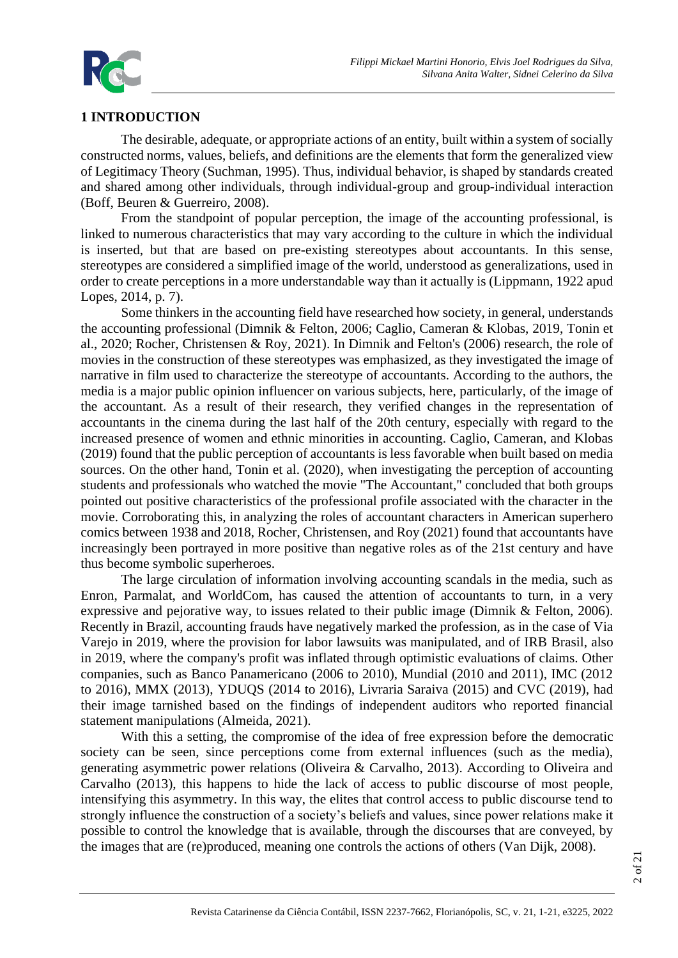

# **1 INTRODUCTION**

The desirable, adequate, or appropriate actions of an entity, built within a system of socially constructed norms, values, beliefs, and definitions are the elements that form the generalized view of Legitimacy Theory (Suchman, 1995). Thus, individual behavior, is shaped by standards created and shared among other individuals, through individual-group and group-individual interaction (Boff, Beuren & Guerreiro, 2008).

From the standpoint of popular perception, the image of the accounting professional, is linked to numerous characteristics that may vary according to the culture in which the individual is inserted, but that are based on pre-existing stereotypes about accountants. In this sense, stereotypes are considered a simplified image of the world, understood as generalizations, used in order to create perceptions in a more understandable way than it actually is (Lippmann, 1922 apud Lopes, 2014, p. 7).

Some thinkers in the accounting field have researched how society, in general, understands the accounting professional (Dimnik & Felton, 2006; Caglio, Cameran & Klobas, 2019, Tonin et al., 2020; Rocher, Christensen & Roy, 2021). In Dimnik and Felton's (2006) research, the role of movies in the construction of these stereotypes was emphasized, as they investigated the image of narrative in film used to characterize the stereotype of accountants. According to the authors, the media is a major public opinion influencer on various subjects, here, particularly, of the image of the accountant. As a result of their research, they verified changes in the representation of accountants in the cinema during the last half of the 20th century, especially with regard to the increased presence of women and ethnic minorities in accounting. Caglio, Cameran, and Klobas (2019) found that the public perception of accountants is less favorable when built based on media sources. On the other hand, Tonin et al. (2020), when investigating the perception of accounting students and professionals who watched the movie "The Accountant," concluded that both groups pointed out positive characteristics of the professional profile associated with the character in the movie. Corroborating this, in analyzing the roles of accountant characters in American superhero comics between 1938 and 2018, Rocher, Christensen, and Roy (2021) found that accountants have increasingly been portrayed in more positive than negative roles as of the 21st century and have thus become symbolic superheroes.

The large circulation of information involving accounting scandals in the media, such as Enron, Parmalat, and WorldCom, has caused the attention of accountants to turn, in a very expressive and pejorative way, to issues related to their public image (Dimnik & Felton, 2006). Recently in Brazil, accounting frauds have negatively marked the profession, as in the case of Via Varejo in 2019, where the provision for labor lawsuits was manipulated, and of IRB Brasil, also in 2019, where the company's profit was inflated through optimistic evaluations of claims. Other companies, such as Banco Panamericano (2006 to 2010), Mundial (2010 and 2011), IMC (2012 to 2016), MMX (2013), YDUQS (2014 to 2016), Livraria Saraiva (2015) and CVC (2019), had their image tarnished based on the findings of independent auditors who reported financial statement manipulations (Almeida, 2021).

With this a setting, the compromise of the idea of free expression before the democratic society can be seen, since perceptions come from external influences (such as the media), generating asymmetric power relations (Oliveira & Carvalho, 2013). According to Oliveira and Carvalho (2013), this happens to hide the lack of access to public discourse of most people, intensifying this asymmetry. In this way, the elites that control access to public discourse tend to strongly influence the construction of a society's beliefs and values, since power relations make it possible to control the knowledge that is available, through the discourses that are conveyed, by the images that are (re)produced, meaning one controls the actions of others (Van Dijk, 2008).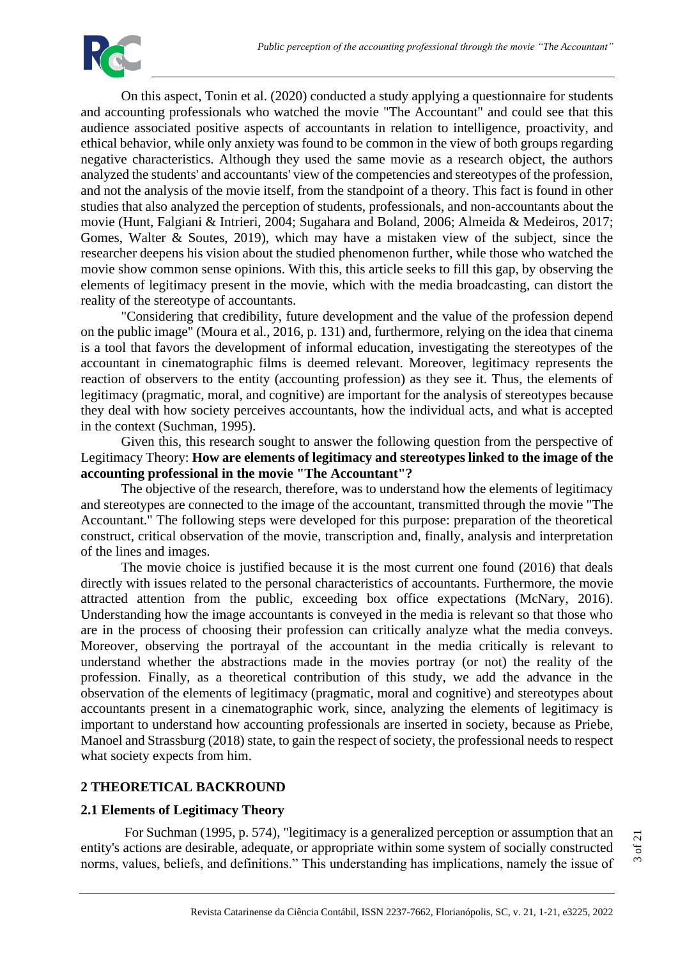

On this aspect, Tonin et al. (2020) conducted a study applying a questionnaire for students and accounting professionals who watched the movie "The Accountant" and could see that this audience associated positive aspects of accountants in relation to intelligence, proactivity, and ethical behavior, while only anxiety was found to be common in the view of both groups regarding negative characteristics. Although they used the same movie as a research object, the authors analyzed the students' and accountants' view of the competencies and stereotypes of the profession, and not the analysis of the movie itself, from the standpoint of a theory. This fact is found in other studies that also analyzed the perception of students, professionals, and non-accountants about the movie (Hunt, Falgiani & Intrieri, 2004; Sugahara and Boland, 2006; Almeida & Medeiros, 2017; Gomes, Walter & Soutes, 2019), which may have a mistaken view of the subject, since the researcher deepens his vision about the studied phenomenon further, while those who watched the movie show common sense opinions. With this, this article seeks to fill this gap, by observing the elements of legitimacy present in the movie, which with the media broadcasting, can distort the reality of the stereotype of accountants.

"Considering that credibility, future development and the value of the profession depend on the public image" (Moura et al., 2016, p. 131) and, furthermore, relying on the idea that cinema is a tool that favors the development of informal education, investigating the stereotypes of the accountant in cinematographic films is deemed relevant. Moreover, legitimacy represents the reaction of observers to the entity (accounting profession) as they see it. Thus, the elements of legitimacy (pragmatic, moral, and cognitive) are important for the analysis of stereotypes because they deal with how society perceives accountants, how the individual acts, and what is accepted in the context (Suchman, 1995).

Given this, this research sought to answer the following question from the perspective of Legitimacy Theory: **How are elements of legitimacy and stereotypes linked to the image of the accounting professional in the movie "The Accountant"?**

The objective of the research, therefore, was to understand how the elements of legitimacy and stereotypes are connected to the image of the accountant, transmitted through the movie "The Accountant." The following steps were developed for this purpose: preparation of the theoretical construct, critical observation of the movie, transcription and, finally, analysis and interpretation of the lines and images.

The movie choice is justified because it is the most current one found (2016) that deals directly with issues related to the personal characteristics of accountants. Furthermore, the movie attracted attention from the public, exceeding box office expectations (McNary, 2016). Understanding how the image accountants is conveyed in the media is relevant so that those who are in the process of choosing their profession can critically analyze what the media conveys. Moreover, observing the portrayal of the accountant in the media critically is relevant to understand whether the abstractions made in the movies portray (or not) the reality of the profession. Finally, as a theoretical contribution of this study, we add the advance in the observation of the elements of legitimacy (pragmatic, moral and cognitive) and stereotypes about accountants present in a cinematographic work, since, analyzing the elements of legitimacy is important to understand how accounting professionals are inserted in society, because as Priebe, Manoel and Strassburg (2018) state, to gain the respect of society, the professional needs to respect what society expects from him.

# **2 THEORETICAL BACKROUND**

# **2.1 Elements of Legitimacy Theory**

For Suchman (1995, p. 574), "legitimacy is a generalized perception or assumption that an entity's actions are desirable, adequate, or appropriate within some system of socially constructed norms, values, beliefs, and definitions." This understanding has implications, namely the issue of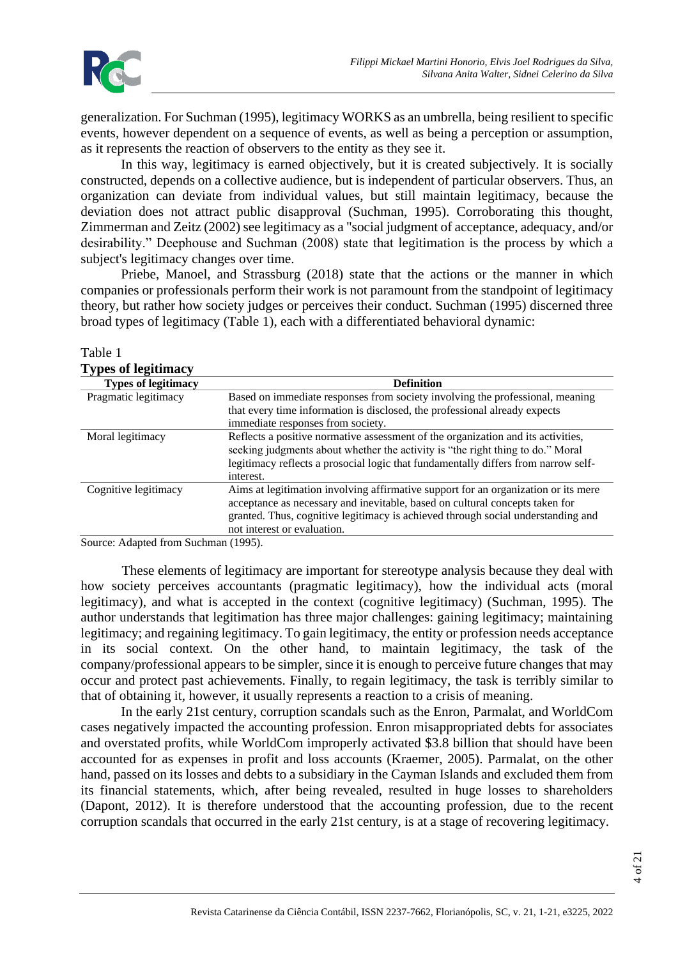generalization. For Suchman (1995), legitimacy WORKS as an umbrella, being resilient to specific events, however dependent on a sequence of events, as well as being a perception or assumption, as it represents the reaction of observers to the entity as they see it.

In this way, legitimacy is earned objectively, but it is created subjectively. It is socially constructed, depends on a collective audience, but is independent of particular observers. Thus, an organization can deviate from individual values, but still maintain legitimacy, because the deviation does not attract public disapproval (Suchman, 1995). Corroborating this thought, Zimmerman and Zeitz (2002) see legitimacy as a "social judgment of acceptance, adequacy, and/or desirability." Deephouse and Suchman (2008) state that legitimation is the process by which a subject's legitimacy changes over time.

Priebe, Manoel, and Strassburg (2018) state that the actions or the manner in which companies or professionals perform their work is not paramount from the standpoint of legitimacy theory, but rather how society judges or perceives their conduct. Suchman (1995) discerned three broad types of legitimacy (Table 1), each with a differentiated behavioral dynamic:

| <b>Types of legitimacy</b> |                                                                                    |
|----------------------------|------------------------------------------------------------------------------------|
| <b>Types of legitimacy</b> | <b>Definition</b>                                                                  |
| Pragmatic legitimacy       | Based on immediate responses from society involving the professional, meaning      |
|                            | that every time information is disclosed, the professional already expects         |
|                            | immediate responses from society.                                                  |
| Moral legitimacy           | Reflects a positive normative assessment of the organization and its activities,   |
|                            | seeking judgments about whether the activity is "the right thing to do." Moral     |
|                            | legitimacy reflects a prosocial logic that fundamentally differs from narrow self- |
|                            | interest.                                                                          |
| Cognitive legitimacy       | Aims at legitimation involving affirmative support for an organization or its mere |
|                            | acceptance as necessary and inevitable, based on cultural concepts taken for       |
|                            | granted. Thus, cognitive legitimacy is achieved through social understanding and   |
|                            | not interest or evaluation.                                                        |

# Table 1

Source: Adapted from Suchman (1995).

These elements of legitimacy are important for stereotype analysis because they deal with how society perceives accountants (pragmatic legitimacy), how the individual acts (moral legitimacy), and what is accepted in the context (cognitive legitimacy) (Suchman, 1995). The author understands that legitimation has three major challenges: gaining legitimacy; maintaining legitimacy; and regaining legitimacy. To gain legitimacy, the entity or profession needs acceptance in its social context. On the other hand, to maintain legitimacy, the task of the company/professional appears to be simpler, since it is enough to perceive future changes that may occur and protect past achievements. Finally, to regain legitimacy, the task is terribly similar to that of obtaining it, however, it usually represents a reaction to a crisis of meaning.

In the early 21st century, corruption scandals such as the Enron, Parmalat, and WorldCom cases negatively impacted the accounting profession. Enron misappropriated debts for associates and overstated profits, while WorldCom improperly activated \$3.8 billion that should have been accounted for as expenses in profit and loss accounts (Kraemer, 2005). Parmalat, on the other hand, passed on its losses and debts to a subsidiary in the Cayman Islands and excluded them from its financial statements, which, after being revealed, resulted in huge losses to shareholders (Dapont, 2012). It is therefore understood that the accounting profession, due to the recent corruption scandals that occurred in the early 21st century, is at a stage of recovering legitimacy.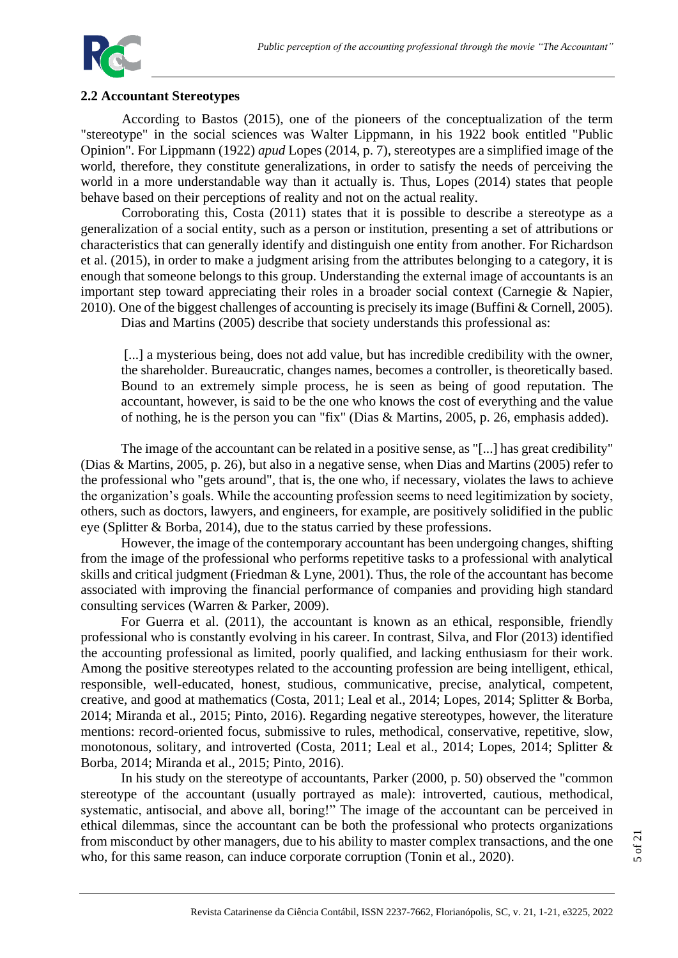

## **2.2 Accountant Stereotypes**

According to Bastos (2015), one of the pioneers of the conceptualization of the term "stereotype" in the social sciences was Walter Lippmann, in his 1922 book entitled "Public Opinion". For Lippmann (1922) *apud* Lopes (2014, p. 7), stereotypes are a simplified image of the world, therefore, they constitute generalizations, in order to satisfy the needs of perceiving the world in a more understandable way than it actually is. Thus, Lopes (2014) states that people behave based on their perceptions of reality and not on the actual reality.

Corroborating this, Costa (2011) states that it is possible to describe a stereotype as a generalization of a social entity, such as a person or institution, presenting a set of attributions or characteristics that can generally identify and distinguish one entity from another. For Richardson et al. (2015), in order to make a judgment arising from the attributes belonging to a category, it is enough that someone belongs to this group. Understanding the external image of accountants is an important step toward appreciating their roles in a broader social context (Carnegie & Napier, 2010). One of the biggest challenges of accounting is precisely its image (Buffini & Cornell, 2005).

Dias and Martins (2005) describe that society understands this professional as:

[...] a mysterious being, does not add value, but has incredible credibility with the owner, the shareholder. Bureaucratic, changes names, becomes a controller, is theoretically based. Bound to an extremely simple process, he is seen as being of good reputation. The accountant, however, is said to be the one who knows the cost of everything and the value of nothing, he is the person you can "fix" (Dias & Martins, 2005, p. 26, emphasis added).

The image of the accountant can be related in a positive sense, as "[...] has great credibility" (Dias & Martins, 2005, p. 26), but also in a negative sense, when Dias and Martins (2005) refer to the professional who "gets around", that is, the one who, if necessary, violates the laws to achieve the organization's goals. While the accounting profession seems to need legitimization by society, others, such as doctors, lawyers, and engineers, for example, are positively solidified in the public eye (Splitter & Borba, 2014), due to the status carried by these professions.

However, the image of the contemporary accountant has been undergoing changes, shifting from the image of the professional who performs repetitive tasks to a professional with analytical skills and critical judgment (Friedman & Lyne, 2001). Thus, the role of the accountant has become associated with improving the financial performance of companies and providing high standard consulting services (Warren & Parker, 2009).

For Guerra et al. (2011), the accountant is known as an ethical, responsible, friendly professional who is constantly evolving in his career. In contrast, Silva, and Flor (2013) identified the accounting professional as limited, poorly qualified, and lacking enthusiasm for their work. Among the positive stereotypes related to the accounting profession are being intelligent, ethical, responsible, well-educated, honest, studious, communicative, precise, analytical, competent, creative, and good at mathematics (Costa, 2011; Leal et al., 2014; Lopes, 2014; Splitter & Borba, 2014; Miranda et al., 2015; Pinto, 2016). Regarding negative stereotypes, however, the literature mentions: record-oriented focus, submissive to rules, methodical, conservative, repetitive, slow, monotonous, solitary, and introverted (Costa, 2011; Leal et al., 2014; Lopes, 2014; Splitter & Borba, 2014; Miranda et al., 2015; Pinto, 2016).

In his study on the stereotype of accountants, Parker (2000, p. 50) observed the "common stereotype of the accountant (usually portrayed as male): introverted, cautious, methodical, systematic, antisocial, and above all, boring!" The image of the accountant can be perceived in ethical dilemmas, since the accountant can be both the professional who protects organizations from misconduct by other managers, due to his ability to master complex transactions, and the one who, for this same reason, can induce corporate corruption (Tonin et al., 2020).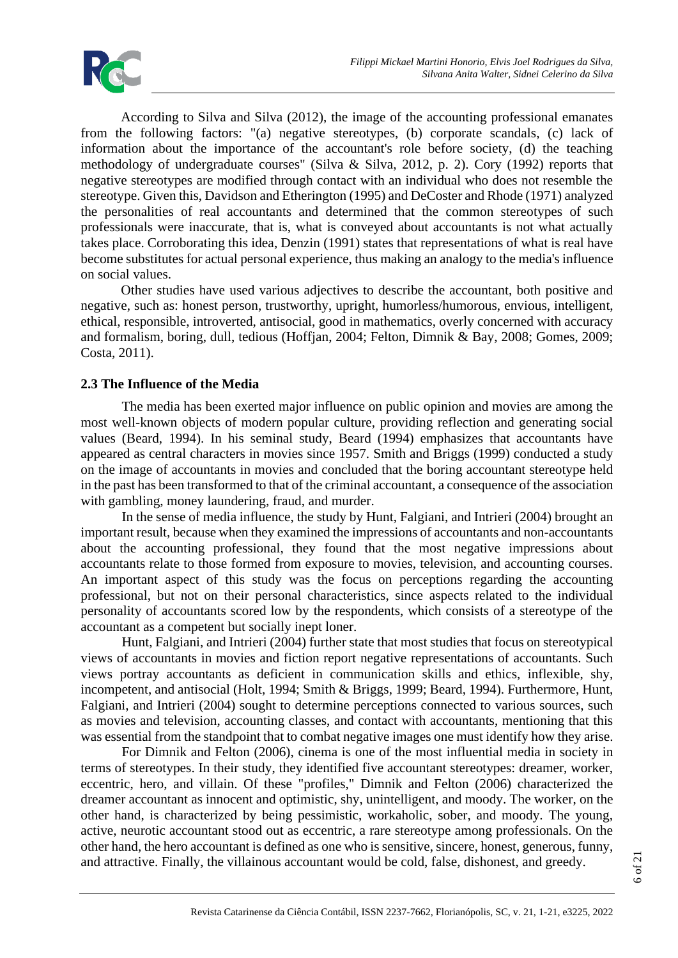According to Silva and Silva (2012), the image of the accounting professional emanates from the following factors: "(a) negative stereotypes, (b) corporate scandals, (c) lack of information about the importance of the accountant's role before society, (d) the teaching methodology of undergraduate courses" (Silva & Silva, 2012, p. 2). Cory (1992) reports that negative stereotypes are modified through contact with an individual who does not resemble the stereotype. Given this, Davidson and Etherington (1995) and DeCoster and Rhode (1971) analyzed the personalities of real accountants and determined that the common stereotypes of such professionals were inaccurate, that is, what is conveyed about accountants is not what actually takes place. Corroborating this idea, Denzin (1991) states that representations of what is real have become substitutes for actual personal experience, thus making an analogy to the media's influence on social values.

Other studies have used various adjectives to describe the accountant, both positive and negative, such as: honest person, trustworthy, upright, humorless/humorous, envious, intelligent, ethical, responsible, introverted, antisocial, good in mathematics, overly concerned with accuracy and formalism, boring, dull, tedious (Hoffjan, 2004; Felton, Dimnik & Bay, 2008; Gomes, 2009; Costa, 2011).

# **2.3 The Influence of the Media**

The media has been exerted major influence on public opinion and movies are among the most well-known objects of modern popular culture, providing reflection and generating social values (Beard, 1994). In his seminal study, Beard (1994) emphasizes that accountants have appeared as central characters in movies since 1957. Smith and Briggs (1999) conducted a study on the image of accountants in movies and concluded that the boring accountant stereotype held in the past has been transformed to that of the criminal accountant, a consequence of the association with gambling, money laundering, fraud, and murder.

In the sense of media influence, the study by Hunt, Falgiani, and Intrieri (2004) brought an important result, because when they examined the impressions of accountants and non-accountants about the accounting professional, they found that the most negative impressions about accountants relate to those formed from exposure to movies, television, and accounting courses. An important aspect of this study was the focus on perceptions regarding the accounting professional, but not on their personal characteristics, since aspects related to the individual personality of accountants scored low by the respondents, which consists of a stereotype of the accountant as a competent but socially inept loner.

Hunt, Falgiani, and Intrieri (2004) further state that most studies that focus on stereotypical views of accountants in movies and fiction report negative representations of accountants. Such views portray accountants as deficient in communication skills and ethics, inflexible, shy, incompetent, and antisocial (Holt, 1994; Smith & Briggs, 1999; Beard, 1994). Furthermore, Hunt, Falgiani, and Intrieri (2004) sought to determine perceptions connected to various sources, such as movies and television, accounting classes, and contact with accountants, mentioning that this was essential from the standpoint that to combat negative images one must identify how they arise.

For Dimnik and Felton (2006), cinema is one of the most influential media in society in terms of stereotypes. In their study, they identified five accountant stereotypes: dreamer, worker, eccentric, hero, and villain. Of these "profiles," Dimnik and Felton (2006) characterized the dreamer accountant as innocent and optimistic, shy, unintelligent, and moody. The worker, on the other hand, is characterized by being pessimistic, workaholic, sober, and moody. The young, active, neurotic accountant stood out as eccentric, a rare stereotype among professionals. On the other hand, the hero accountant is defined as one who is sensitive, sincere, honest, generous, funny, and attractive. Finally, the villainous accountant would be cold, false, dishonest, and greedy.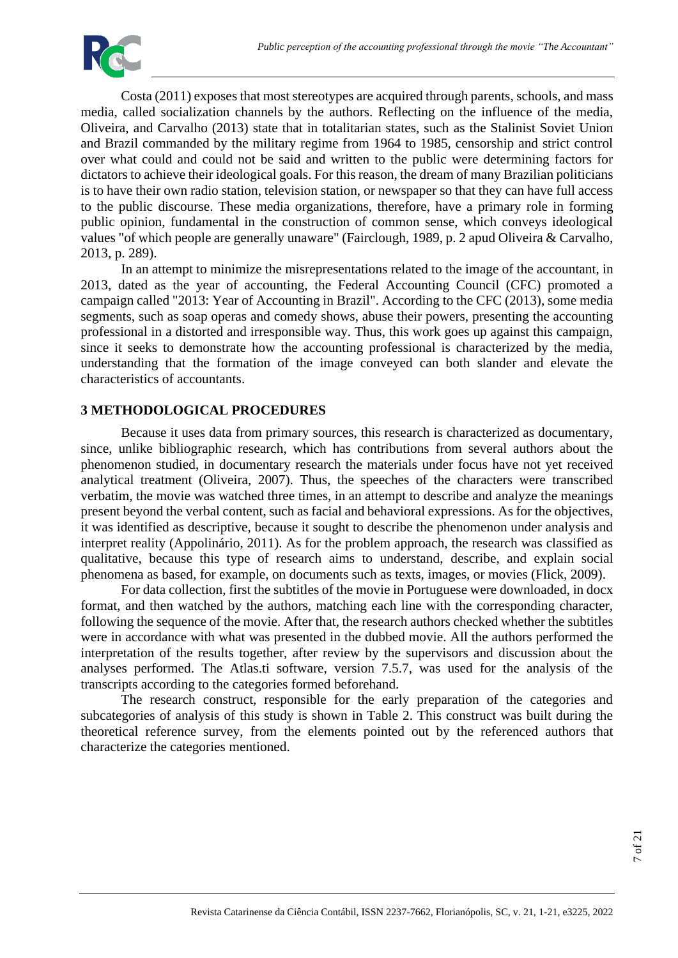

Costa (2011) exposes that most stereotypes are acquired through parents, schools, and mass media, called socialization channels by the authors. Reflecting on the influence of the media, Oliveira, and Carvalho (2013) state that in totalitarian states, such as the Stalinist Soviet Union and Brazil commanded by the military regime from 1964 to 1985, censorship and strict control over what could and could not be said and written to the public were determining factors for dictators to achieve their ideological goals. For this reason, the dream of many Brazilian politicians is to have their own radio station, television station, or newspaper so that they can have full access to the public discourse. These media organizations, therefore, have a primary role in forming public opinion, fundamental in the construction of common sense, which conveys ideological values "of which people are generally unaware" (Fairclough, 1989, p. 2 apud Oliveira & Carvalho, 2013, p. 289).

In an attempt to minimize the misrepresentations related to the image of the accountant, in 2013, dated as the year of accounting, the Federal Accounting Council (CFC) promoted a campaign called "2013: Year of Accounting in Brazil". According to the CFC (2013), some media segments, such as soap operas and comedy shows, abuse their powers, presenting the accounting professional in a distorted and irresponsible way. Thus, this work goes up against this campaign, since it seeks to demonstrate how the accounting professional is characterized by the media, understanding that the formation of the image conveyed can both slander and elevate the characteristics of accountants.

# **3 METHODOLOGICAL PROCEDURES**

Because it uses data from primary sources, this research is characterized as documentary, since, unlike bibliographic research, which has contributions from several authors about the phenomenon studied, in documentary research the materials under focus have not yet received analytical treatment (Oliveira, 2007). Thus, the speeches of the characters were transcribed verbatim, the movie was watched three times, in an attempt to describe and analyze the meanings present beyond the verbal content, such as facial and behavioral expressions. As for the objectives, it was identified as descriptive, because it sought to describe the phenomenon under analysis and interpret reality (Appolinário, 2011). As for the problem approach, the research was classified as qualitative, because this type of research aims to understand, describe, and explain social phenomena as based, for example, on documents such as texts, images, or movies (Flick, 2009).

For data collection, first the subtitles of the movie in Portuguese were downloaded, in docx format, and then watched by the authors, matching each line with the corresponding character, following the sequence of the movie. After that, the research authors checked whether the subtitles were in accordance with what was presented in the dubbed movie. All the authors performed the interpretation of the results together, after review by the supervisors and discussion about the analyses performed. The Atlas.ti software, version 7.5.7, was used for the analysis of the transcripts according to the categories formed beforehand.

The research construct, responsible for the early preparation of the categories and subcategories of analysis of this study is shown in Table 2. This construct was built during the theoretical reference survey, from the elements pointed out by the referenced authors that characterize the categories mentioned.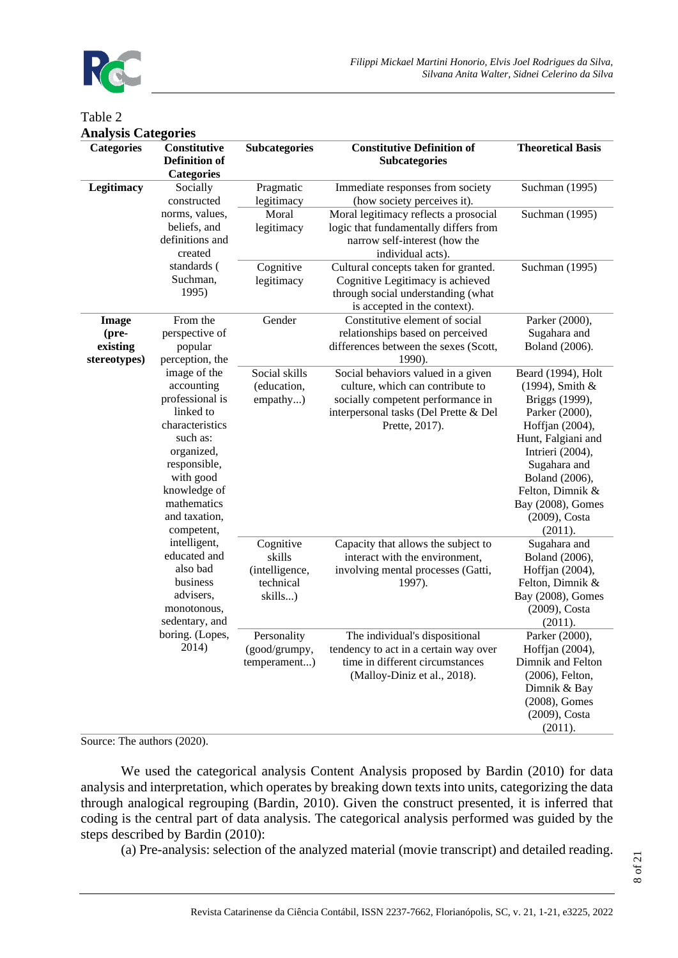

# Table 2 **Analysis Categories**

| Amaryois Catugurus<br><b>Categories</b>           | Constitutive<br><b>Definition of</b><br><b>Categories</b>                                                                                                                                          | <b>Subcategories</b>                                          | <b>Constitutive Definition of</b><br><b>Subcategories</b>                                                                                                              | <b>Theoretical Basis</b>                                                                                                                                                                                                                      |
|---------------------------------------------------|----------------------------------------------------------------------------------------------------------------------------------------------------------------------------------------------------|---------------------------------------------------------------|------------------------------------------------------------------------------------------------------------------------------------------------------------------------|-----------------------------------------------------------------------------------------------------------------------------------------------------------------------------------------------------------------------------------------------|
| Legitimacy                                        | Socially<br>constructed                                                                                                                                                                            | Pragmatic<br>legitimacy                                       | Immediate responses from society<br>(how society perceives it).                                                                                                        | Suchman (1995)                                                                                                                                                                                                                                |
|                                                   | norms, values,<br>beliefs, and<br>definitions and<br>created                                                                                                                                       | Moral<br>legitimacy                                           | Moral legitimacy reflects a prosocial<br>logic that fundamentally differs from<br>narrow self-interest (how the<br>individual acts).                                   | Suchman (1995)                                                                                                                                                                                                                                |
|                                                   | standards (<br>Suchman,<br>1995)                                                                                                                                                                   | Cognitive<br>legitimacy                                       | Cultural concepts taken for granted.<br>Cognitive Legitimacy is achieved<br>through social understanding (what<br>is accepted in the context).                         | Suchman (1995)                                                                                                                                                                                                                                |
| <b>Image</b><br>(pre-<br>existing<br>stereotypes) | From the<br>perspective of<br>popular<br>perception, the                                                                                                                                           | Gender                                                        | Constitutive element of social<br>relationships based on perceived<br>differences between the sexes (Scott,<br>1990).                                                  | Parker (2000),<br>Sugahara and<br>Boland (2006).                                                                                                                                                                                              |
|                                                   | image of the<br>accounting<br>professional is<br>linked to<br>characteristics<br>such as:<br>organized,<br>responsible,<br>with good<br>knowledge of<br>mathematics<br>and taxation,<br>competent, | Social skills<br>(education,<br>empathy)                      | Social behaviors valued in a given<br>culture, which can contribute to<br>socially competent performance in<br>interpersonal tasks (Del Prette & Del<br>Prette, 2017). | Beard (1994), Holt<br>(1994), Smith &<br>Briggs (1999),<br>Parker (2000),<br>Hoffjan (2004),<br>Hunt, Falgiani and<br>Intrieri (2004),<br>Sugahara and<br>Boland (2006),<br>Felton, Dimnik &<br>Bay (2008), Gomes<br>(2009), Costa<br>(2011). |
|                                                   | intelligent,<br>educated and<br>also bad<br>business<br>advisers,<br>monotonous,<br>sedentary, and                                                                                                 | Cognitive<br>skills<br>(intelligence,<br>technical<br>skills) | Capacity that allows the subject to<br>interact with the environment,<br>involving mental processes (Gatti,<br>1997).                                                  | Sugahara and<br>Boland (2006),<br>Hoffjan (2004),<br>Felton, Dimnik &<br>Bay (2008), Gomes<br>(2009), Costa<br>(2011).                                                                                                                        |
|                                                   | boring. (Lopes,<br>2014)                                                                                                                                                                           | Personality<br>(good/grumpy,<br>temperament)                  | The individual's dispositional<br>tendency to act in a certain way over<br>time in different circumstances<br>(Malloy-Diniz et al., 2018).                             | Parker (2000),<br>Hoffjan (2004),<br>Dimnik and Felton<br>(2006), Felton,<br>Dimnik & Bay<br>(2008), Gomes<br>(2009), Costa<br>(2011).                                                                                                        |

Source: The authors (2020).

We used the categorical analysis Content Analysis proposed by Bardin (2010) for data analysis and interpretation, which operates by breaking down texts into units, categorizing the data through analogical regrouping (Bardin, 2010). Given the construct presented, it is inferred that coding is the central part of data analysis. The categorical analysis performed was guided by the steps described by Bardin (2010):

(a) Pre-analysis: selection of the analyzed material (movie transcript) and detailed reading.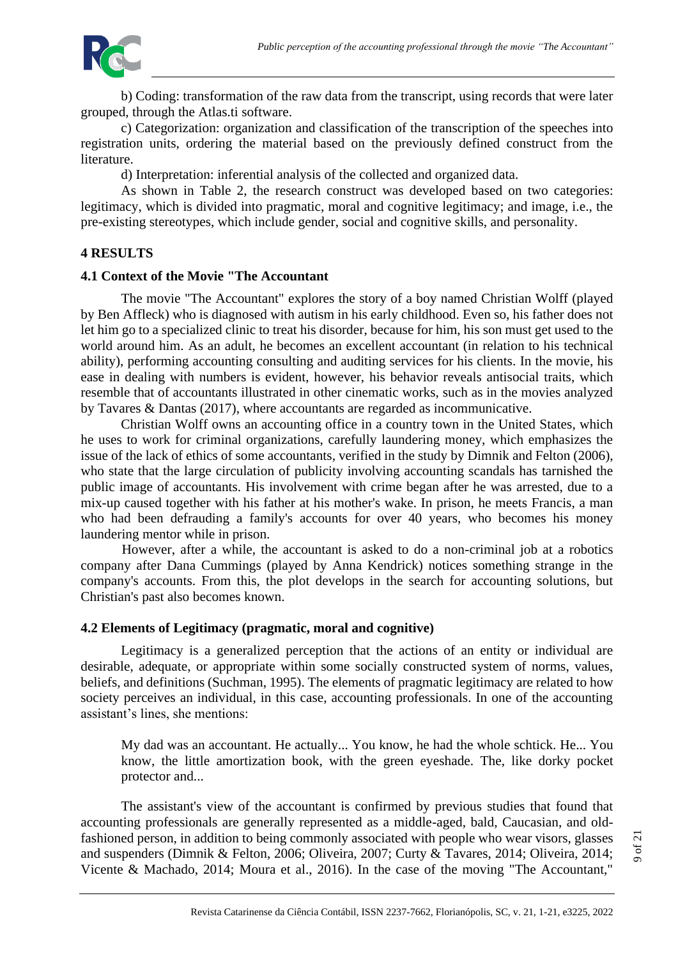

b) Coding: transformation of the raw data from the transcript, using records that were later grouped, through the Atlas.ti software.

c) Categorization: organization and classification of the transcription of the speeches into registration units, ordering the material based on the previously defined construct from the literature.

d) Interpretation: inferential analysis of the collected and organized data.

As shown in Table 2, the research construct was developed based on two categories: legitimacy, which is divided into pragmatic, moral and cognitive legitimacy; and image, i.e., the pre-existing stereotypes, which include gender, social and cognitive skills, and personality.

# **4 RESULTS**

### **4.1 Context of the Movie "The Accountant**

The movie "The Accountant" explores the story of a boy named Christian Wolff (played by Ben Affleck) who is diagnosed with autism in his early childhood. Even so, his father does not let him go to a specialized clinic to treat his disorder, because for him, his son must get used to the world around him. As an adult, he becomes an excellent accountant (in relation to his technical ability), performing accounting consulting and auditing services for his clients. In the movie, his ease in dealing with numbers is evident, however, his behavior reveals antisocial traits, which resemble that of accountants illustrated in other cinematic works, such as in the movies analyzed by Tavares & Dantas (2017), where accountants are regarded as incommunicative.

Christian Wolff owns an accounting office in a country town in the United States, which he uses to work for criminal organizations, carefully laundering money, which emphasizes the issue of the lack of ethics of some accountants, verified in the study by Dimnik and Felton (2006), who state that the large circulation of publicity involving accounting scandals has tarnished the public image of accountants. His involvement with crime began after he was arrested, due to a mix-up caused together with his father at his mother's wake. In prison, he meets Francis, a man who had been defrauding a family's accounts for over 40 years, who becomes his money laundering mentor while in prison.

However, after a while, the accountant is asked to do a non-criminal job at a robotics company after Dana Cummings (played by Anna Kendrick) notices something strange in the company's accounts. From this, the plot develops in the search for accounting solutions, but Christian's past also becomes known.

# **4.2 Elements of Legitimacy (pragmatic, moral and cognitive)**

Legitimacy is a generalized perception that the actions of an entity or individual are desirable, adequate, or appropriate within some socially constructed system of norms, values, beliefs, and definitions (Suchman, 1995). The elements of pragmatic legitimacy are related to how society perceives an individual, in this case, accounting professionals. In one of the accounting assistant's lines, she mentions:

My dad was an accountant. He actually... You know, he had the whole schtick. He... You know, the little amortization book, with the green eyeshade. The, like dorky pocket protector and...

The assistant's view of the accountant is confirmed by previous studies that found that accounting professionals are generally represented as a middle-aged, bald, Caucasian, and oldfashioned person, in addition to being commonly associated with people who wear visors, glasses and suspenders (Dimnik & Felton, 2006; Oliveira, 2007; Curty & Tavares, 2014; Oliveira, 2014; Vicente & Machado, 2014; Moura et al., 2016). In the case of the moving "The Accountant,"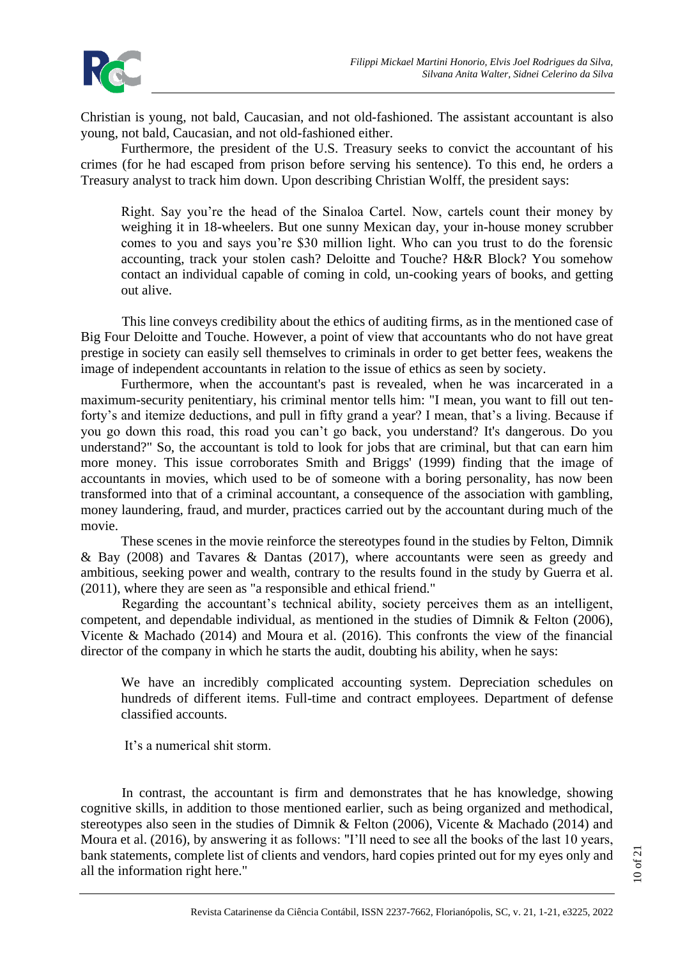Christian is young, not bald, Caucasian, and not old-fashioned. The assistant accountant is also young, not bald, Caucasian, and not old-fashioned either.

Furthermore, the president of the U.S. Treasury seeks to convict the accountant of his crimes (for he had escaped from prison before serving his sentence). To this end, he orders a Treasury analyst to track him down. Upon describing Christian Wolff, the president says:

Right. Say you're the head of the Sinaloa Cartel. Now, cartels count their money by weighing it in 18-wheelers. But one sunny Mexican day, your in-house money scrubber comes to you and says you're \$30 million light. Who can you trust to do the forensic accounting, track your stolen cash? Deloitte and Touche? H&R Block? You somehow contact an individual capable of coming in cold, un-cooking years of books, and getting out alive.

This line conveys credibility about the ethics of auditing firms, as in the mentioned case of Big Four Deloitte and Touche. However, a point of view that accountants who do not have great prestige in society can easily sell themselves to criminals in order to get better fees, weakens the image of independent accountants in relation to the issue of ethics as seen by society.

Furthermore, when the accountant's past is revealed, when he was incarcerated in a maximum-security penitentiary, his criminal mentor tells him: "I mean, you want to fill out tenforty's and itemize deductions, and pull in fifty grand a year? I mean, that's a living. Because if you go down this road, this road you can't go back, you understand? It's dangerous. Do you understand?" So, the accountant is told to look for jobs that are criminal, but that can earn him more money. This issue corroborates Smith and Briggs' (1999) finding that the image of accountants in movies, which used to be of someone with a boring personality, has now been transformed into that of a criminal accountant, a consequence of the association with gambling, money laundering, fraud, and murder, practices carried out by the accountant during much of the movie.

These scenes in the movie reinforce the stereotypes found in the studies by Felton, Dimnik  $&$  Bay (2008) and Tavares  $&$  Dantas (2017), where accountants were seen as greedy and ambitious, seeking power and wealth, contrary to the results found in the study by Guerra et al. (2011), where they are seen as "a responsible and ethical friend."

Regarding the accountant's technical ability, society perceives them as an intelligent, competent, and dependable individual, as mentioned in the studies of Dimnik & Felton (2006), Vicente & Machado (2014) and Moura et al. (2016). This confronts the view of the financial director of the company in which he starts the audit, doubting his ability, when he says:

We have an incredibly complicated accounting system. Depreciation schedules on hundreds of different items. Full-time and contract employees. Department of defense classified accounts.

It's a numerical shit storm.

In contrast, the accountant is firm and demonstrates that he has knowledge, showing cognitive skills, in addition to those mentioned earlier, such as being organized and methodical, stereotypes also seen in the studies of Dimnik & Felton (2006), Vicente & Machado (2014) and Moura et al. (2016), by answering it as follows: "I'll need to see all the books of the last 10 years, bank statements, complete list of clients and vendors, hard copies printed out for my eyes only and all the information right here."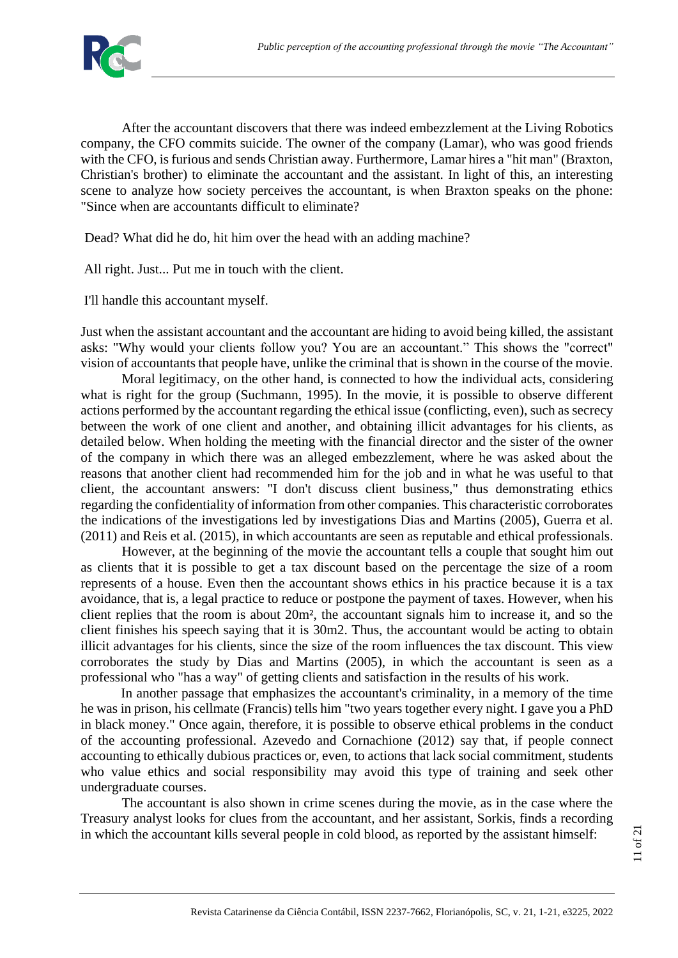

After the accountant discovers that there was indeed embezzlement at the Living Robotics company, the CFO commits suicide. The owner of the company (Lamar), who was good friends with the CFO, is furious and sends Christian away. Furthermore, Lamar hires a "hit man" (Braxton, Christian's brother) to eliminate the accountant and the assistant. In light of this, an interesting scene to analyze how society perceives the accountant, is when Braxton speaks on the phone: "Since when are accountants difficult to eliminate?

Dead? What did he do, hit him over the head with an adding machine?

All right. Just... Put me in touch with the client.

I'll handle this accountant myself.

Just when the assistant accountant and the accountant are hiding to avoid being killed, the assistant asks: "Why would your clients follow you? You are an accountant." This shows the "correct" vision of accountants that people have, unlike the criminal that is shown in the course of the movie.

Moral legitimacy, on the other hand, is connected to how the individual acts, considering what is right for the group (Suchmann, 1995). In the movie, it is possible to observe different actions performed by the accountant regarding the ethical issue (conflicting, even), such as secrecy between the work of one client and another, and obtaining illicit advantages for his clients, as detailed below. When holding the meeting with the financial director and the sister of the owner of the company in which there was an alleged embezzlement, where he was asked about the reasons that another client had recommended him for the job and in what he was useful to that client, the accountant answers: "I don't discuss client business," thus demonstrating ethics regarding the confidentiality of information from other companies. This characteristic corroborates the indications of the investigations led by investigations Dias and Martins (2005), Guerra et al. (2011) and Reis et al. (2015), in which accountants are seen as reputable and ethical professionals.

However, at the beginning of the movie the accountant tells a couple that sought him out as clients that it is possible to get a tax discount based on the percentage the size of a room represents of a house. Even then the accountant shows ethics in his practice because it is a tax avoidance, that is, a legal practice to reduce or postpone the payment of taxes. However, when his client replies that the room is about 20m², the accountant signals him to increase it, and so the client finishes his speech saying that it is 30m2. Thus, the accountant would be acting to obtain illicit advantages for his clients, since the size of the room influences the tax discount. This view corroborates the study by Dias and Martins (2005), in which the accountant is seen as a professional who "has a way" of getting clients and satisfaction in the results of his work.

In another passage that emphasizes the accountant's criminality, in a memory of the time he was in prison, his cellmate (Francis) tells him "two years together every night. I gave you a PhD in black money." Once again, therefore, it is possible to observe ethical problems in the conduct of the accounting professional. Azevedo and Cornachione (2012) say that, if people connect accounting to ethically dubious practices or, even, to actions that lack social commitment, students who value ethics and social responsibility may avoid this type of training and seek other undergraduate courses.

The accountant is also shown in crime scenes during the movie, as in the case where the Treasury analyst looks for clues from the accountant, and her assistant, Sorkis, finds a recording in which the accountant kills several people in cold blood, as reported by the assistant himself: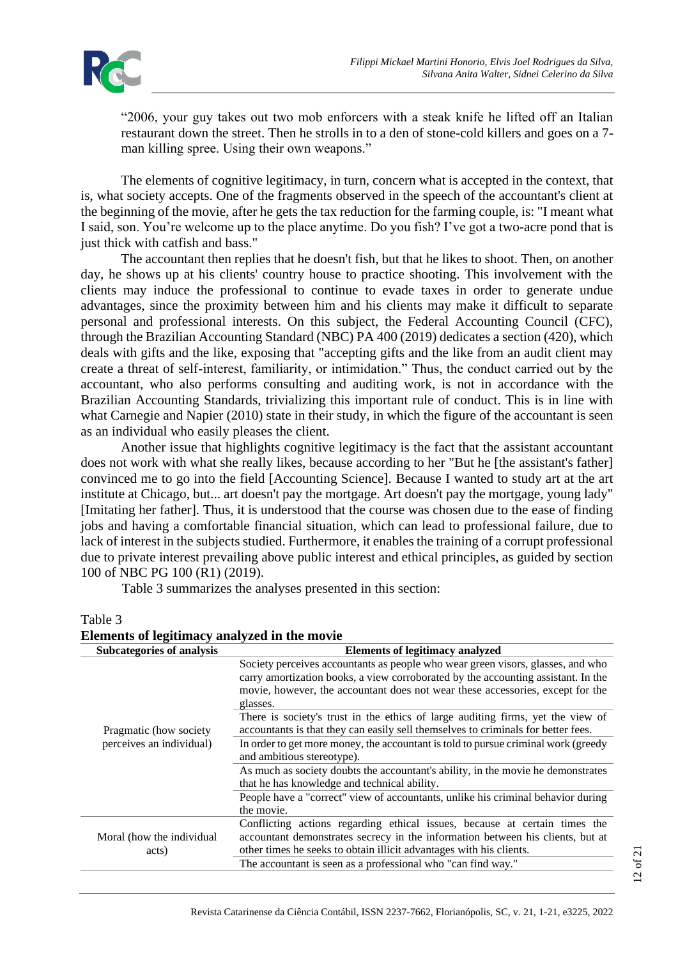

"2006, your guy takes out two mob enforcers with a steak knife he lifted off an Italian restaurant down the street. Then he strolls in to a den of stone-cold killers and goes on a 7 man killing spree. Using their own weapons."

The elements of cognitive legitimacy, in turn, concern what is accepted in the context, that is, what society accepts. One of the fragments observed in the speech of the accountant's client at the beginning of the movie, after he gets the tax reduction for the farming couple, is: "I meant what I said, son. You're welcome up to the place anytime. Do you fish? I've got a two-acre pond that is just thick with catfish and bass."

The accountant then replies that he doesn't fish, but that he likes to shoot. Then, on another day, he shows up at his clients' country house to practice shooting. This involvement with the clients may induce the professional to continue to evade taxes in order to generate undue advantages, since the proximity between him and his clients may make it difficult to separate personal and professional interests. On this subject, the Federal Accounting Council (CFC), through the Brazilian Accounting Standard (NBC) PA 400 (2019) dedicates a section (420), which deals with gifts and the like, exposing that "accepting gifts and the like from an audit client may create a threat of self-interest, familiarity, or intimidation." Thus, the conduct carried out by the accountant, who also performs consulting and auditing work, is not in accordance with the Brazilian Accounting Standards, trivializing this important rule of conduct. This is in line with what Carnegie and Napier (2010) state in their study, in which the figure of the accountant is seen as an individual who easily pleases the client.

Another issue that highlights cognitive legitimacy is the fact that the assistant accountant does not work with what she really likes, because according to her "But he [the assistant's father] convinced me to go into the field [Accounting Science]. Because I wanted to study art at the art institute at Chicago, but... art doesn't pay the mortgage. Art doesn't pay the mortgage, young lady" [Imitating her father]. Thus, it is understood that the course was chosen due to the ease of finding jobs and having a comfortable financial situation, which can lead to professional failure, due to lack of interest in the subjects studied. Furthermore, it enables the training of a corrupt professional due to private interest prevailing above public interest and ethical principles, as guided by section 100 of NBC PG 100 (R1) (2019).

Table 3 summarizes the analyses presented in this section:

#### Table 3

| Elements of legitimacy analyzed in the movie       |                                                                                                                                                                                                                                                                    |  |  |
|----------------------------------------------------|--------------------------------------------------------------------------------------------------------------------------------------------------------------------------------------------------------------------------------------------------------------------|--|--|
| Subcategories of analysis                          | <b>Elements of legitimacy analyzed</b>                                                                                                                                                                                                                             |  |  |
|                                                    | Society perceives accountants as people who wear green visors, glasses, and who<br>carry amortization books, a view corroborated by the accounting assistant. In the<br>movie, however, the accountant does not wear these accessories, except for the<br>glasses. |  |  |
| Pragmatic (how society<br>perceives an individual) | There is society's trust in the ethics of large auditing firms, yet the view of<br>accountants is that they can easily sell themselves to criminals for better fees.                                                                                               |  |  |
|                                                    | In order to get more money, the accountant is told to pursue criminal work (greedy)<br>and ambitious stereotype).                                                                                                                                                  |  |  |
|                                                    | As much as society doubts the accountant's ability, in the movie he demonstrates<br>that he has knowledge and technical ability.                                                                                                                                   |  |  |
|                                                    | People have a "correct" view of accountants, unlike his criminal behavior during<br>the movie.                                                                                                                                                                     |  |  |
| Moral (how the individual<br>acts)                 | Conflicting actions regarding ethical issues, because at certain times the<br>accountant demonstrates secrecy in the information between his clients, but at<br>other times he seeks to obtain illicit advantages with his clients.                                |  |  |
|                                                    | The accountant is seen as a professional who "can find way."                                                                                                                                                                                                       |  |  |

Revista Catarinense da Ciência Contábil, ISSN 2237-7662, Florianópolis, SC, v. 21, 1-21, e3225, 2022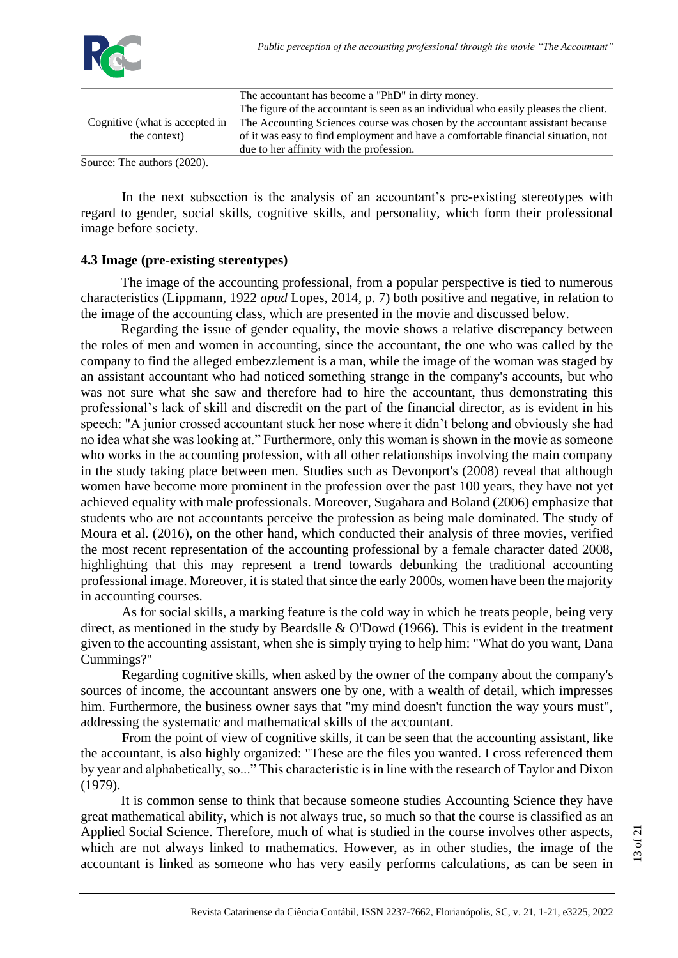

|                                     | The accountant has become a "PhD" in dirty money.                                    |
|-------------------------------------|--------------------------------------------------------------------------------------|
|                                     | The figure of the accountant is seen as an individual who easily pleases the client. |
| Cognitive (what is accepted in      | The Accounting Sciences course was chosen by the accountant assistant because        |
| the context)                        | of it was easy to find employment and have a comfortable financial situation, not    |
|                                     | due to her affinity with the profession.                                             |
| $\text{Source:}$ The authors (2020) |                                                                                      |

authors  $(2020)$ 

In the next subsection is the analysis of an accountant's pre-existing stereotypes with regard to gender, social skills, cognitive skills, and personality, which form their professional image before society.

# **4.3 Image (pre-existing stereotypes)**

The image of the accounting professional, from a popular perspective is tied to numerous characteristics (Lippmann, 1922 *apud* Lopes, 2014, p. 7) both positive and negative, in relation to the image of the accounting class, which are presented in the movie and discussed below.

Regarding the issue of gender equality, the movie shows a relative discrepancy between the roles of men and women in accounting, since the accountant, the one who was called by the company to find the alleged embezzlement is a man, while the image of the woman was staged by an assistant accountant who had noticed something strange in the company's accounts, but who was not sure what she saw and therefore had to hire the accountant, thus demonstrating this professional's lack of skill and discredit on the part of the financial director, as is evident in his speech: "A junior crossed accountant stuck her nose where it didn't belong and obviously she had no idea what she was looking at." Furthermore, only this woman is shown in the movie as someone who works in the accounting profession, with all other relationships involving the main company in the study taking place between men. Studies such as Devonport's (2008) reveal that although women have become more prominent in the profession over the past 100 years, they have not yet achieved equality with male professionals. Moreover, Sugahara and Boland (2006) emphasize that students who are not accountants perceive the profession as being male dominated. The study of Moura et al. (2016), on the other hand, which conducted their analysis of three movies, verified the most recent representation of the accounting professional by a female character dated 2008, highlighting that this may represent a trend towards debunking the traditional accounting professional image. Moreover, it is stated that since the early 2000s, women have been the majority in accounting courses.

As for social skills, a marking feature is the cold way in which he treats people, being very direct, as mentioned in the study by Beardslle & O'Dowd (1966). This is evident in the treatment given to the accounting assistant, when she is simply trying to help him: "What do you want, Dana Cummings?"

Regarding cognitive skills, when asked by the owner of the company about the company's sources of income, the accountant answers one by one, with a wealth of detail, which impresses him. Furthermore, the business owner says that "my mind doesn't function the way yours must", addressing the systematic and mathematical skills of the accountant.

From the point of view of cognitive skills, it can be seen that the accounting assistant, like the accountant, is also highly organized: "These are the files you wanted. I cross referenced them by year and alphabetically, so..." This characteristic is in line with the research of Taylor and Dixon (1979).

It is common sense to think that because someone studies Accounting Science they have great mathematical ability, which is not always true, so much so that the course is classified as an Applied Social Science. Therefore, much of what is studied in the course involves other aspects, which are not always linked to mathematics. However, as in other studies, the image of the accountant is linked as someone who has very easily performs calculations, as can be seen in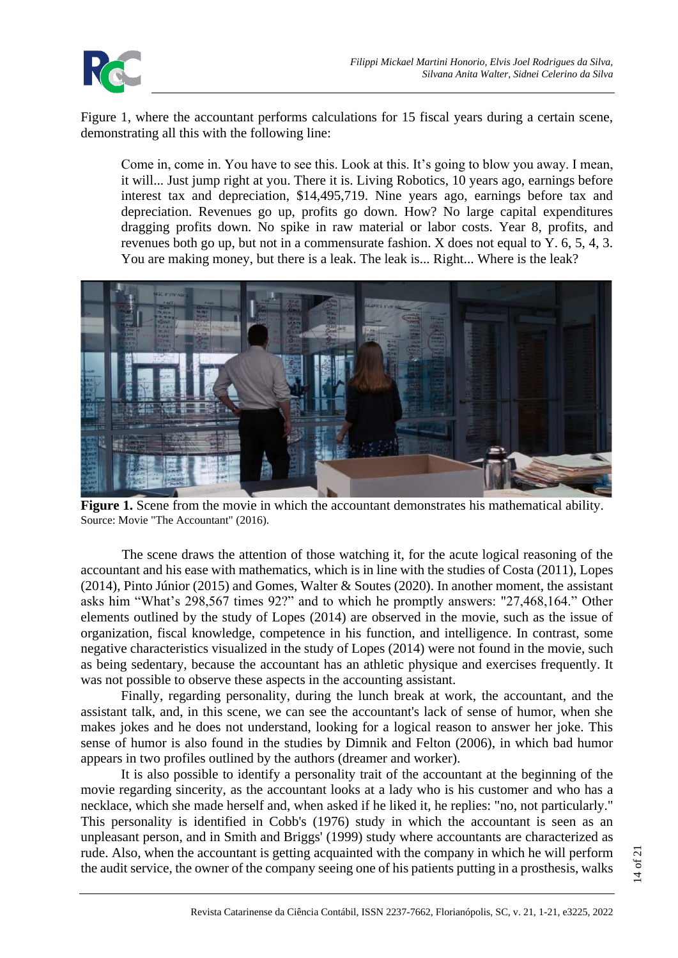

Figure 1, where the accountant performs calculations for 15 fiscal years during a certain scene, demonstrating all this with the following line:

Come in, come in. You have to see this. Look at this. It's going to blow you away. I mean, it will... Just jump right at you. There it is. Living Robotics, 10 years ago, earnings before interest tax and depreciation, \$14,495,719. Nine years ago, earnings before tax and depreciation. Revenues go up, profits go down. How? No large capital expenditures dragging profits down. No spike in raw material or labor costs. Year 8, profits, and revenues both go up, but not in a commensurate fashion. X does not equal to Y. 6, 5, 4, 3. You are making money, but there is a leak. The leak is... Right... Where is the leak?



Figure 1. Scene from the movie in which the accountant demonstrates his mathematical ability. Source: Movie "The Accountant" (2016).

The scene draws the attention of those watching it, for the acute logical reasoning of the accountant and his ease with mathematics, which is in line with the studies of Costa (2011), Lopes (2014), Pinto Júnior (2015) and Gomes, Walter & Soutes (2020). In another moment, the assistant asks him "What's 298,567 times 92?" and to which he promptly answers: "27,468,164." Other elements outlined by the study of Lopes (2014) are observed in the movie, such as the issue of organization, fiscal knowledge, competence in his function, and intelligence. In contrast, some negative characteristics visualized in the study of Lopes (2014) were not found in the movie, such as being sedentary, because the accountant has an athletic physique and exercises frequently. It was not possible to observe these aspects in the accounting assistant.

Finally, regarding personality, during the lunch break at work, the accountant, and the assistant talk, and, in this scene, we can see the accountant's lack of sense of humor, when she makes jokes and he does not understand, looking for a logical reason to answer her joke. This sense of humor is also found in the studies by Dimnik and Felton (2006), in which bad humor appears in two profiles outlined by the authors (dreamer and worker).

It is also possible to identify a personality trait of the accountant at the beginning of the movie regarding sincerity, as the accountant looks at a lady who is his customer and who has a necklace, which she made herself and, when asked if he liked it, he replies: "no, not particularly." This personality is identified in Cobb's (1976) study in which the accountant is seen as an unpleasant person, and in Smith and Briggs' (1999) study where accountants are characterized as rude. Also, when the accountant is getting acquainted with the company in which he will perform the audit service, the owner of the company seeing one of his patients putting in a prosthesis, walks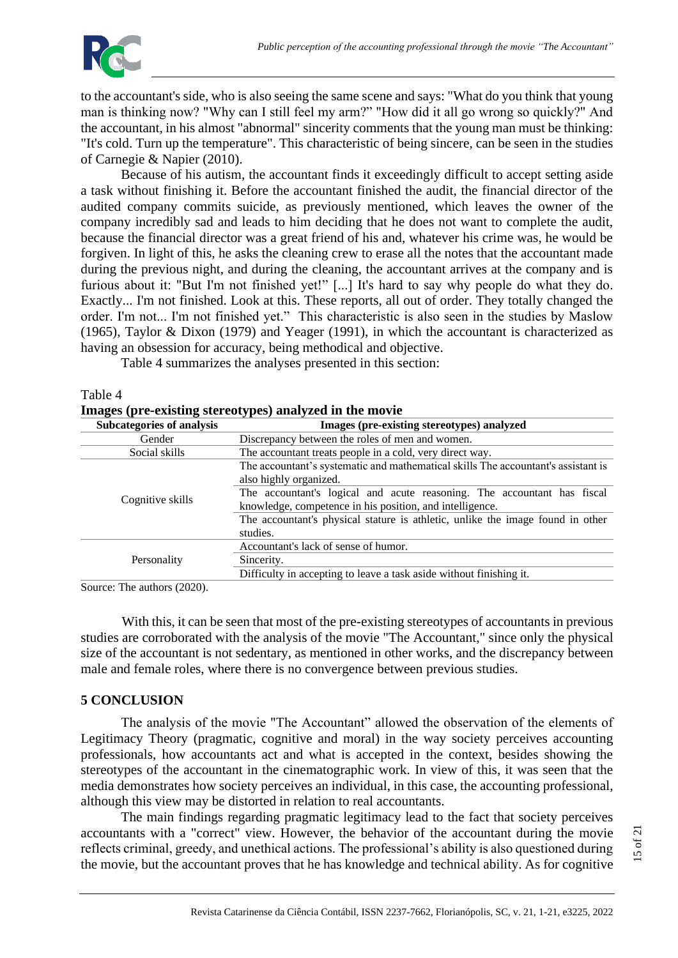

Table 4

to the accountant's side, who is also seeing the same scene and says: "What do you think that young man is thinking now? "Why can I still feel my arm?" "How did it all go wrong so quickly?" And the accountant, in his almost "abnormal" sincerity comments that the young man must be thinking: "It's cold. Turn up the temperature". This characteristic of being sincere, can be seen in the studies of Carnegie & Napier (2010).

Because of his autism, the accountant finds it exceedingly difficult to accept setting aside a task without finishing it. Before the accountant finished the audit, the financial director of the audited company commits suicide, as previously mentioned, which leaves the owner of the company incredibly sad and leads to him deciding that he does not want to complete the audit, because the financial director was a great friend of his and, whatever his crime was, he would be forgiven. In light of this, he asks the cleaning crew to erase all the notes that the accountant made during the previous night, and during the cleaning, the accountant arrives at the company and is furious about it: "But I'm not finished yet!" [...] It's hard to say why people do what they do. Exactly... I'm not finished. Look at this. These reports, all out of order. They totally changed the order. I'm not... I'm not finished yet." This characteristic is also seen in the studies by Maslow (1965), Taylor & Dixon (1979) and Yeager (1991), in which the accountant is characterized as having an obsession for accuracy, being methodical and objective.

Table 4 summarizes the analyses presented in this section:

| Images (pre-existing stereotypes) analyzed in the movie |                                                                                                                                     |  |  |  |
|---------------------------------------------------------|-------------------------------------------------------------------------------------------------------------------------------------|--|--|--|
| <b>Subcategories of analysis</b>                        | Images (pre-existing stereotypes) analyzed                                                                                          |  |  |  |
| Gender                                                  | Discrepancy between the roles of men and women.                                                                                     |  |  |  |
| Social skills                                           | The accountant treats people in a cold, very direct way.                                                                            |  |  |  |
|                                                         | The accountant's systematic and mathematical skills The accountant's assistant is<br>also highly organized.                         |  |  |  |
| Cognitive skills                                        | The accountant's logical and acute reasoning. The accountant has fiscal<br>knowledge, competence in his position, and intelligence. |  |  |  |
|                                                         | The accountant's physical stature is athletic, unlike the image found in other<br>studies.                                          |  |  |  |
| Personality                                             | Accountant's lack of sense of humor.                                                                                                |  |  |  |
|                                                         | Sincerity.                                                                                                                          |  |  |  |
|                                                         | Difficulty in accepting to leave a task aside without finishing it.                                                                 |  |  |  |
| $\sim$<br>$\mathbf{r}$<br>(0.000)<br>$\sim$ 1           |                                                                                                                                     |  |  |  |

| Images (pre-existing stereotypes) analyzed in the movie |  |  |
|---------------------------------------------------------|--|--|
|                                                         |  |  |

Source: The authors (2020).

With this, it can be seen that most of the pre-existing stereotypes of accountants in previous studies are corroborated with the analysis of the movie "The Accountant," since only the physical size of the accountant is not sedentary, as mentioned in other works, and the discrepancy between male and female roles, where there is no convergence between previous studies.

# **5 CONCLUSION**

The analysis of the movie "The Accountant" allowed the observation of the elements of Legitimacy Theory (pragmatic, cognitive and moral) in the way society perceives accounting professionals, how accountants act and what is accepted in the context, besides showing the stereotypes of the accountant in the cinematographic work. In view of this, it was seen that the media demonstrates how society perceives an individual, in this case, the accounting professional, although this view may be distorted in relation to real accountants.

The main findings regarding pragmatic legitimacy lead to the fact that society perceives accountants with a "correct" view. However, the behavior of the accountant during the movie reflects criminal, greedy, and unethical actions. The professional's ability is also questioned during the movie, but the accountant proves that he has knowledge and technical ability. As for cognitive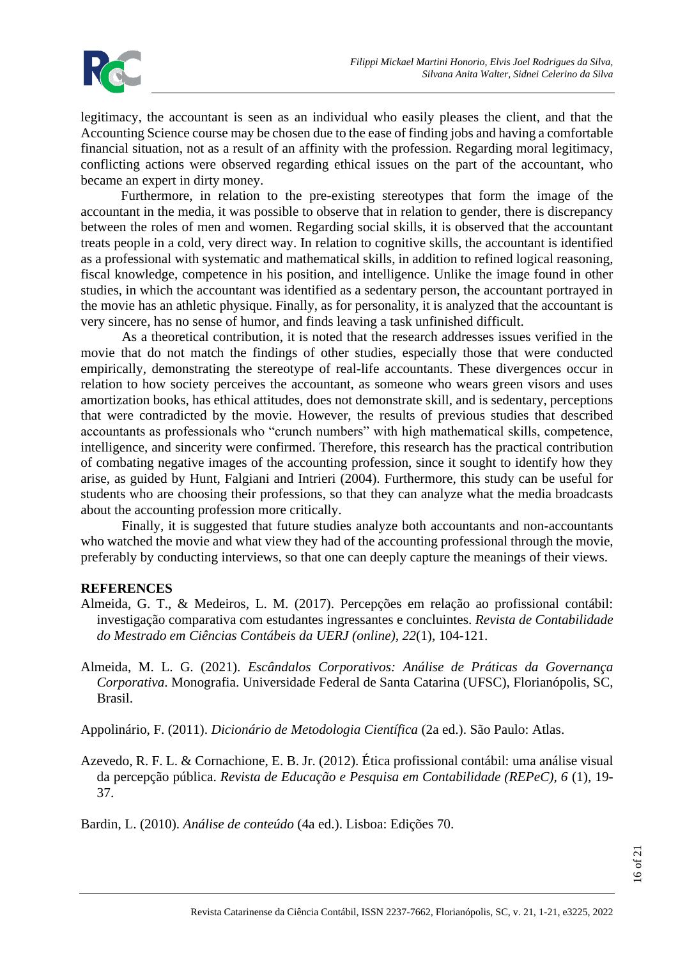

legitimacy, the accountant is seen as an individual who easily pleases the client, and that the Accounting Science course may be chosen due to the ease of finding jobs and having a comfortable financial situation, not as a result of an affinity with the profession. Regarding moral legitimacy, conflicting actions were observed regarding ethical issues on the part of the accountant, who became an expert in dirty money.

Furthermore, in relation to the pre-existing stereotypes that form the image of the accountant in the media, it was possible to observe that in relation to gender, there is discrepancy between the roles of men and women. Regarding social skills, it is observed that the accountant treats people in a cold, very direct way. In relation to cognitive skills, the accountant is identified as a professional with systematic and mathematical skills, in addition to refined logical reasoning, fiscal knowledge, competence in his position, and intelligence. Unlike the image found in other studies, in which the accountant was identified as a sedentary person, the accountant portrayed in the movie has an athletic physique. Finally, as for personality, it is analyzed that the accountant is very sincere, has no sense of humor, and finds leaving a task unfinished difficult.

As a theoretical contribution, it is noted that the research addresses issues verified in the movie that do not match the findings of other studies, especially those that were conducted empirically, demonstrating the stereotype of real-life accountants. These divergences occur in relation to how society perceives the accountant, as someone who wears green visors and uses amortization books, has ethical attitudes, does not demonstrate skill, and is sedentary, perceptions that were contradicted by the movie. However, the results of previous studies that described accountants as professionals who "crunch numbers" with high mathematical skills, competence, intelligence, and sincerity were confirmed. Therefore, this research has the practical contribution of combating negative images of the accounting profession, since it sought to identify how they arise, as guided by Hunt, Falgiani and Intrieri (2004). Furthermore, this study can be useful for students who are choosing their professions, so that they can analyze what the media broadcasts about the accounting profession more critically.

Finally, it is suggested that future studies analyze both accountants and non-accountants who watched the movie and what view they had of the accounting professional through the movie, preferably by conducting interviews, so that one can deeply capture the meanings of their views.

# **REFERENCES**

- Almeida, G. T., & Medeiros, L. M. (2017). Percepções em relação ao profissional contábil: investigação comparativa com estudantes ingressantes e concluintes. *Revista de Contabilidade do Mestrado em Ciências Contábeis da UERJ (online), 22*(1), 104-121.
- Almeida, M. L. G. (2021). *Escândalos Corporativos: Análise de Práticas da Governança Corporativa*. Monografia. Universidade Federal de Santa Catarina (UFSC), Florianópolis, SC, Brasil.
- Appolinário, F. (2011). *Dicionário de Metodologia Científica* (2a ed.). São Paulo: Atlas.
- Azevedo, R. F. L. & Cornachione, E. B. Jr. (2012). Ética profissional contábil: uma análise visual da percepção pública. *Revista de Educação e Pesquisa em Contabilidade (REPeC), 6* (1), 19- 37.

Bardin, L. (2010). *Análise de conteúdo* (4a ed.). Lisboa: Edições 70.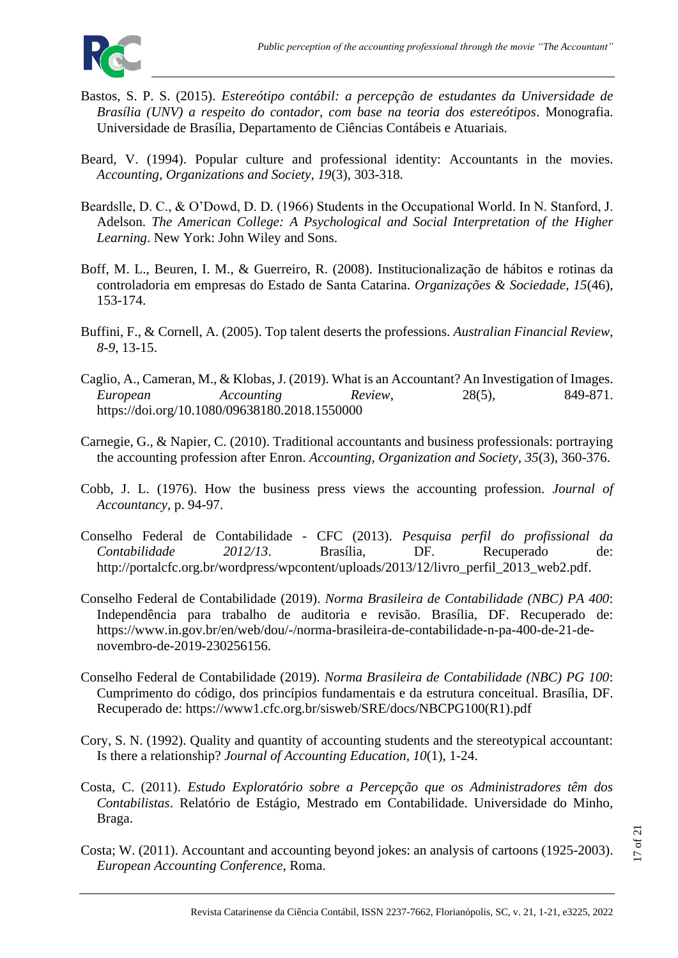

- Bastos, S. P. S. (2015). *Estereótipo contábil: a percepção de estudantes da Universidade de Brasília (UNV) a respeito do contador, com base na teoria dos estereótipos*. Monografia. Universidade de Brasília, Departamento de Ciências Contábeis e Atuariais.
- Beard, V. (1994). Popular culture and professional identity: Accountants in the movies. *Accounting, Organizations and Society, 19*(3), 303-318.
- Beardslle, D. C., & O'Dowd, D. D. (1966) Students in the Occupational World. In N. Stanford, J. Adelson. *The American College: A Psychological and Social Interpretation of the Higher Learning*. New York: John Wiley and Sons.
- Boff, M. L., Beuren, I. M., & Guerreiro, R. (2008). Institucionalização de hábitos e rotinas da controladoria em empresas do Estado de Santa Catarina. *Organizações & Sociedade, 15*(46), 153-174.
- Buffini, F., & Cornell, A. (2005). Top talent deserts the professions. *Australian Financial Review*, *8-9*, 13-15.
- Caglio, A., Cameran, M., & Klobas, J. (2019). What is an Accountant? An Investigation of Images. *European Accounting Review*, 28(5), 849-871. https://doi.org/10.1080/09638180.2018.1550000
- Carnegie, G., & Napier, C. (2010). Traditional accountants and business professionals: portraying the accounting profession after Enron. *Accounting, Organization and Society, 35*(3), 360-376.
- Cobb, J. L. (1976). How the business press views the accounting profession. *Journal of Accountancy*, p. 94-97.
- Conselho Federal de Contabilidade CFC (2013). *Pesquisa perfil do profissional da Contabilidade 2012/13*. Brasília, DF. Recuperado de: http://portalcfc.org.br/wordpress/wpcontent/uploads/2013/12/livro\_perfil\_2013\_web2.pdf.
- Conselho Federal de Contabilidade (2019). *Norma Brasileira de Contabilidade (NBC) PA 400*: Independência para trabalho de auditoria e revisão. Brasília, DF. Recuperado de: https://www.in.gov.br/en/web/dou/-/norma-brasileira-de-contabilidade-n-pa-400-de-21-denovembro-de-2019-230256156.
- Conselho Federal de Contabilidade (2019). *Norma Brasileira de Contabilidade (NBC) PG 100*: Cumprimento do código, dos princípios fundamentais e da estrutura conceitual. Brasília, DF. Recuperado de: https://www1.cfc.org.br/sisweb/SRE/docs/NBCPG100(R1).pdf
- Cory, S. N. (1992). Quality and quantity of accounting students and the stereotypical accountant: Is there a relationship? *Journal of Accounting Education, 10*(1), 1-24.
- Costa, C. (2011). *Estudo Exploratório sobre a Percepção que os Administradores têm dos Contabilistas*. Relatório de Estágio, Mestrado em Contabilidade. Universidade do Minho, Braga.
- Costa; W. (2011). Accountant and accounting beyond jokes: an analysis of cartoons (1925-2003). *European Accounting Conference*, Roma.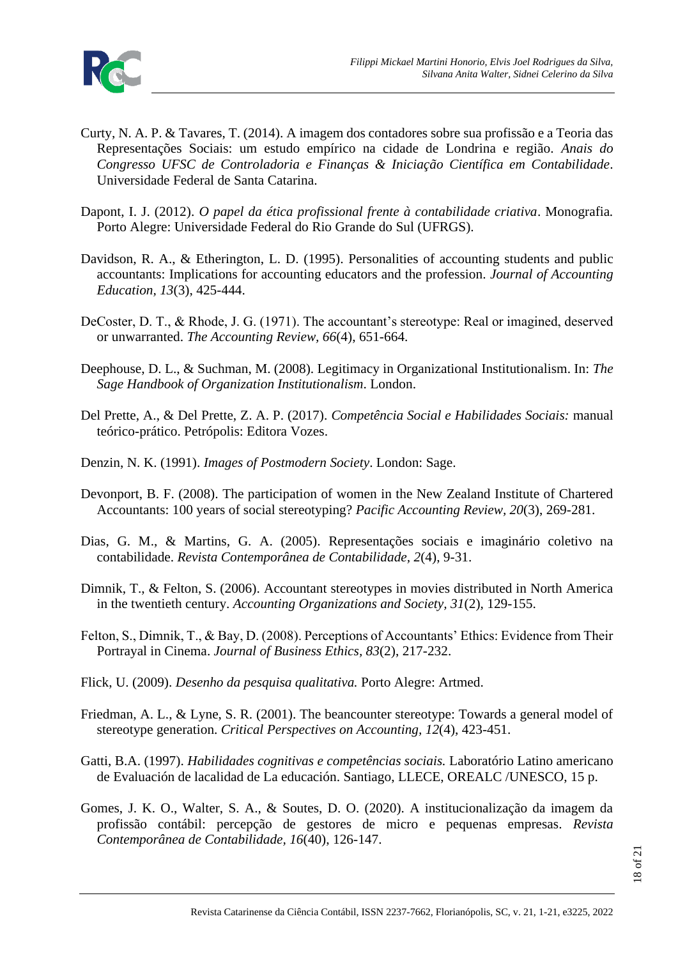

- Curty, N. A. P. & Tavares, T. (2014). A imagem dos contadores sobre sua profissão e a Teoria das Representações Sociais: um estudo empírico na cidade de Londrina e região. *Anais do Congresso UFSC de Controladoria e Finanças & Iniciação Científica em Contabilidade*. Universidade Federal de Santa Catarina.
- Dapont, I. J. (2012). *O papel da ética profissional frente à contabilidade criativa*. Monografia*.* Porto Alegre: Universidade Federal do Rio Grande do Sul (UFRGS).
- Davidson, R. A., & Etherington, L. D. (1995). Personalities of accounting students and public accountants: Implications for accounting educators and the profession. *Journal of Accounting Education, 13*(3), 425-444.
- DeCoster, D. T., & Rhode, J. G. (1971). The accountant's stereotype: Real or imagined, deserved or unwarranted. *The Accounting Review, 66*(4), 651-664.
- Deephouse, D. L., & Suchman, M. (2008). Legitimacy in Organizational Institutionalism. In: *The Sage Handbook of Organization Institutionalism*. London.
- Del Prette, A., & Del Prette, Z. A. P. (2017). *Competência Social e Habilidades Sociais:* manual teórico-prático. Petrópolis: Editora Vozes.
- Denzin, N. K. (1991). *Images of Postmodern Society*. London: Sage.
- Devonport, B. F. (2008). The participation of women in the New Zealand Institute of Chartered Accountants: 100 years of social stereotyping? *Pacific Accounting Review, 20*(3), 269-281.
- Dias, G. M., & Martins, G. A. (2005). Representações sociais e imaginário coletivo na contabilidade. *Revista Contemporânea de Contabilidade, 2*(4), 9-31.
- Dimnik, T., & Felton, S. (2006). Accountant stereotypes in movies distributed in North America in the twentieth century. *Accounting Organizations and Society, 31*(2), 129-155.
- Felton, S., Dimnik, T., & Bay, D. (2008). Perceptions of Accountants' Ethics: Evidence from Their Portrayal in Cinema. *Journal of Business Ethics, 83*(2), 217-232.
- Flick, U. (2009). *Desenho da pesquisa qualitativa.* Porto Alegre: Artmed.
- Friedman, A. L., & Lyne, S. R. (2001). The beancounter stereotype: Towards a general model of stereotype generation. *Critical Perspectives on Accounting, 12*(4), 423-451.
- Gatti, B.A. (1997). *Habilidades cognitivas e competências sociais.* Laboratório Latino americano de Evaluación de lacalidad de La educación. Santiago, LLECE, OREALC /UNESCO, 15 p.
- Gomes, J. K. O., Walter, S. A., & Soutes, D. O. (2020). A institucionalização da imagem da profissão contábil: percepção de gestores de micro e pequenas empresas. *Revista Contemporânea de Contabilidade, 16*(40), 126-147.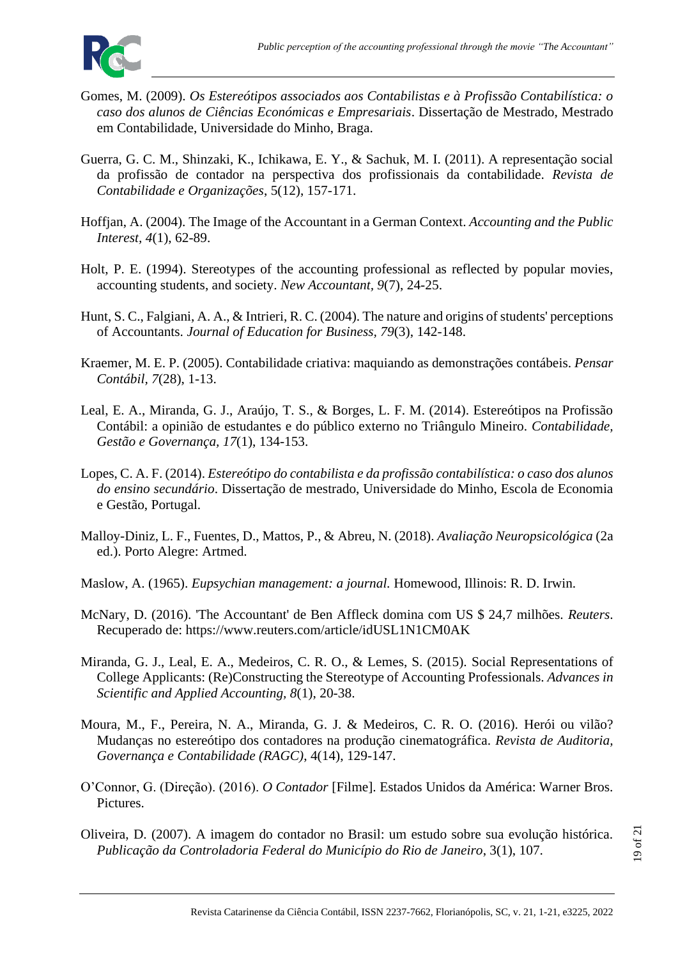

- Gomes, M. (2009). *Os Estereótipos associados aos Contabilistas e à Profissão Contabilística: o caso dos alunos de Ciências Económicas e Empresariais*. Dissertação de Mestrado, Mestrado em Contabilidade, Universidade do Minho, Braga.
- Guerra, G. C. M., Shinzaki, K., Ichikawa, E. Y., & Sachuk, M. I. (2011). A representação social da profissão de contador na perspectiva dos profissionais da contabilidade. *Revista de Contabilidade e Organizações*, 5(12), 157-171.
- Hoffjan, A. (2004). The Image of the Accountant in a German Context. *Accounting and the Public Interest, 4*(1), 62-89.
- Holt, P. E. (1994). Stereotypes of the accounting professional as reflected by popular movies, accounting students, and society. *New Accountant, 9*(7), 24-25.
- Hunt, S. C., Falgiani, A. A., & Intrieri, R. C. (2004). The nature and origins of students' perceptions of Accountants. *Journal of Education for Business, 79*(3), 142-148.
- Kraemer, M. E. P. (2005). Contabilidade criativa: maquiando as demonstrações contábeis. *Pensar Contábil, 7*(28), 1-13.
- Leal, E. A., Miranda, G. J., Araújo, T. S., & Borges, L. F. M. (2014). Estereótipos na Profissão Contábil: a opinião de estudantes e do público externo no Triângulo Mineiro. *Contabilidade, Gestão e Governança, 17*(1), 134-153.
- Lopes, C. A. F. (2014). *Estereótipo do contabilista e da profissão contabilística: o caso dos alunos do ensino secundário*. Dissertação de mestrado, Universidade do Minho, Escola de Economia e Gestão, Portugal.
- Malloy-Diniz, L. F., Fuentes, D., Mattos, P., & Abreu, N. (2018). *Avaliação Neuropsicológica* (2a ed.). Porto Alegre: Artmed.
- Maslow, A. (1965). *Eupsychian management: a journal.* Homewood, Illinois: R. D. Irwin.
- McNary, D. (2016). 'The Accountant' de Ben Affleck domina com US \$ 24,7 milhões. *Reuters*. Recuperado de: https://www.reuters.com/article/idUSL1N1CM0AK
- Miranda, G. J., Leal, E. A., Medeiros, C. R. O., & Lemes, S. (2015). Social Representations of College Applicants: (Re)Constructing the Stereotype of Accounting Professionals. *Advances in Scientific and Applied Accounting, 8*(1), 20-38.
- Moura, M., F., Pereira, N. A., Miranda, G. J. & Medeiros, C. R. O. (2016). Herói ou vilão? Mudanças no estereótipo dos contadores na produção cinematográfica. *Revista de Auditoria, Governança e Contabilidade (RAGC)*, 4(14), 129-147.
- O'Connor, G. (Direção). (2016). *O Contador* [Filme]. Estados Unidos da América: Warner Bros. Pictures.
- Oliveira, D. (2007). A imagem do contador no Brasil: um estudo sobre sua evolução histórica. *Publicação da Controladoria Federal do Município do Rio de Janeiro*, 3(1), 107.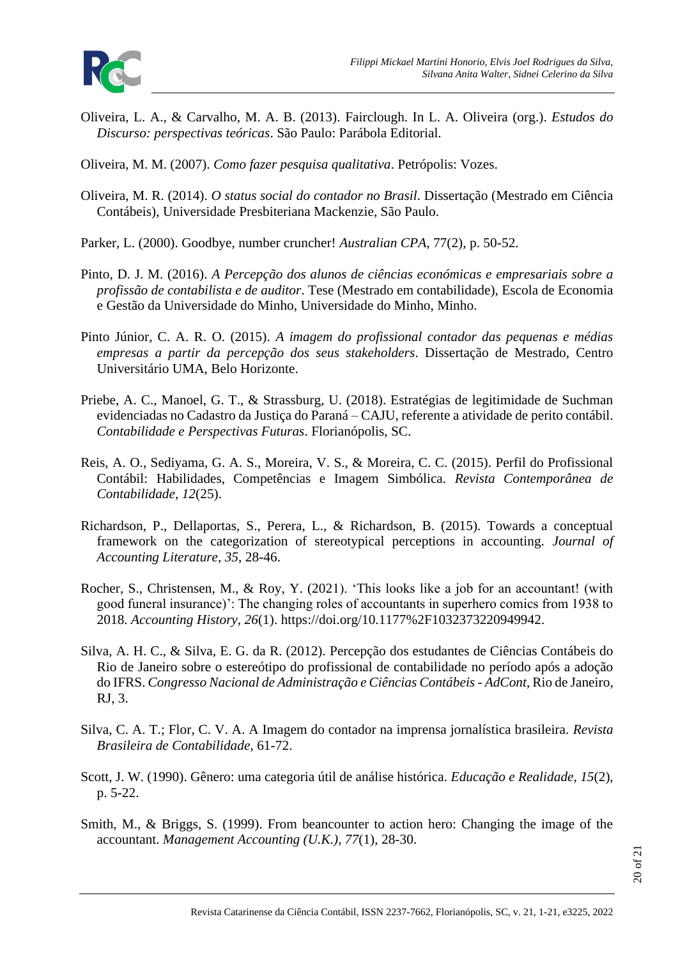

Oliveira, L. A., & Carvalho, M. A. B. (2013). Fairclough. In L. A. Oliveira (org.). *Estudos do Discurso: perspectivas teóricas*. São Paulo: Parábola Editorial.

Oliveira, M. M. (2007). *Como fazer pesquisa qualitativa*. Petrópolis: Vozes.

- Oliveira, M. R. (2014). *O status social do contador no Brasil*. Dissertação (Mestrado em Ciência Contábeis), Universidade Presbiteriana Mackenzie, São Paulo.
- Parker, L. (2000). Goodbye, number cruncher! *Australian CPA*, 77(2), p. 50-52.
- Pinto, D. J. M. (2016). *A Percepção dos alunos de ciências económicas e empresariais sobre a profissão de contabilista e de auditor*. Tese (Mestrado em contabilidade), Escola de Economia e Gestão da Universidade do Minho, Universidade do Minho, Minho.
- Pinto Júnior, C. A. R. O. (2015). *A imagem do profissional contador das pequenas e médias empresas a partir da percepção dos seus stakeholders*. Dissertação de Mestrado, Centro Universitário UMA, Belo Horizonte.
- Priebe, A. C., Manoel, G. T., & Strassburg, U. (2018). Estratégias de legitimidade de Suchman evidenciadas no Cadastro da Justiça do Paraná – CAJU, referente a atividade de perito contábil. *Contabilidade e Perspectivas Futuras*. Florianópolis, SC.
- Reis, A. O., Sediyama, G. A. S., Moreira, V. S., & Moreira, C. C. (2015). Perfil do Profissional Contábil: Habilidades, Competências e Imagem Simbólica. *Revista Contemporânea de Contabilidade, 12*(25).
- Richardson, P., Dellaportas, S., Perera, L., & Richardson, B. (2015). Towards a conceptual framework on the categorization of stereotypical perceptions in accounting. *Journal of Accounting Literature, 35*, 28-46.
- Rocher, S., Christensen, M., & Roy, Y. (2021). 'This looks like a job for an accountant! (with good funeral insurance)': The changing roles of accountants in superhero comics from 1938 to 2018. *Accounting History, 26*(1). https://doi.org/10.1177%2F1032373220949942.
- Silva, A. H. C., & Silva, E. G. da R. (2012). Percepção dos estudantes de Ciências Contábeis do Rio de Janeiro sobre o estereótipo do profissional de contabilidade no período após a adoção do IFRS. *Congresso Nacional de Administração e Ciências Contábeis - AdCont*, Rio de Janeiro, RJ, 3.
- Silva, C. A. T.; Flor, C. V. A. A Imagem do contador na imprensa jornalística brasileira. *Revista Brasileira de Contabilidade*, 61-72.
- Scott, J. W. (1990). Gênero: uma categoria útil de análise histórica. *Educação e Realidade, 15*(2), p. 5-22.
- Smith, M., & Briggs, S. (1999). From beancounter to action hero: Changing the image of the accountant. *Management Accounting (U.K.), 77*(1), 28-30.